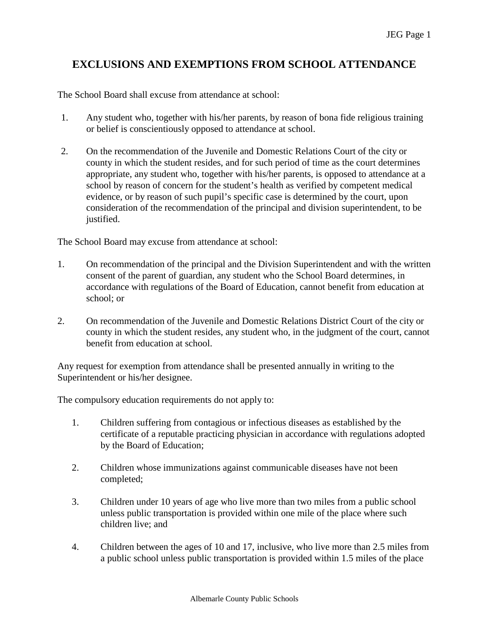## **EXCLUSIONS AND EXEMPTIONS FROM SCHOOL ATTENDANCE**

The School Board shall excuse from attendance at school:

- 1. Any student who, together with his/her parents, by reason of bona fide religious training or belief is conscientiously opposed to attendance at school.
- 2. On the recommendation of the Juvenile and Domestic Relations Court of the city or county in which the student resides, and for such period of time as the court determines appropriate, any student who, together with his/her parents, is opposed to attendance at a school by reason of concern for the student's health as verified by competent medical evidence, or by reason of such pupil's specific case is determined by the court, upon consideration of the recommendation of the principal and division superintendent, to be justified.

The School Board may excuse from attendance at school:

- 1. On recommendation of the principal and the Division Superintendent and with the written consent of the parent of guardian, any student who the School Board determines, in accordance with regulations of the Board of Education, cannot benefit from education at school; or
- 2. On recommendation of the Juvenile and Domestic Relations District Court of the city or county in which the student resides, any student who, in the judgment of the court, cannot benefit from education at school.

Any request for exemption from attendance shall be presented annually in writing to the Superintendent or his/her designee.

The compulsory education requirements do not apply to:

- 1. Children suffering from contagious or infectious diseases as established by the certificate of a reputable practicing physician in accordance with regulations adopted by the Board of Education;
- 2. Children whose immunizations against communicable diseases have not been completed;
- 3. Children under 10 years of age who live more than two miles from a public school unless public transportation is provided within one mile of the place where such children live; and
- 4. Children between the ages of 10 and 17, inclusive, who live more than 2.5 miles from a public school unless public transportation is provided within 1.5 miles of the place